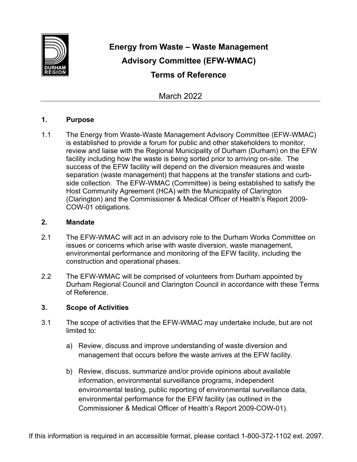

# **Energy from Waste – Waste Management Advisory Committee (EFW-WMAC) Terms of Reference**

March 2022

## **1. Purpose**

1.1 The Energy from Waste-Waste Management Advisory Committee (EFW-WMAC) is established to provide a forum for public and other stakeholders to monitor, review and liaise with the Regional Municipality of Durham (Durham) on the EFW facility including how the waste is being sorted prior to arriving on-site. The success of the EFW facility will depend on the diversion measures and waste separation (waste management) that happens at the transfer stations and curbside collection. The EFW-WMAC (Committee) is being established to satisfy the Host Community Agreement (HCA) with the Municipality of Clarington (Clarington) and the Commissioner & Medical Officer of Health's Report 2009- COW-01 obligations.

## **2. Mandate**

- 2.1 The EFW-WMAC will act in an advisory role to the Durham Works Committee on issues or concerns which arise with waste diversion, waste management, environmental performance and monitoring of the EFW facility, including the construction and operational phases.
- 2.2 The EFW-WMAC will be comprised of volunteers from Durham appointed by Durham Regional Council and Clarington Council in accordance with these Terms of Reference.

# **3. Scope of Activities**

- 3.1 The scope of activities that the EFW-WMAC may undertake include, but are not limited to:
	- a) Review, discuss and improve understanding of waste diversion and management that occurs before the waste arrives at the EFW facility.
	- b) Review, discuss, summarize and/or provide opinions about available information, environmental surveillance programs, independent environmental testing, public reporting of environmental surveillance data, environmental performance for the EFW facility (as outlined in the Commissioner & Medical Officer of Health's Report 2009-COW-01).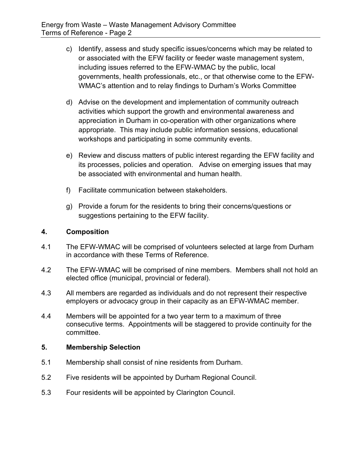- c) Identify, assess and study specific issues/concerns which may be related to or associated with the EFW facility or feeder waste management system, including issues referred to the EFW-WMAC by the public, local governments, health professionals, etc., or that otherwise come to the EFW-WMAC's attention and to relay findings to Durham's Works Committee
- d) Advise on the development and implementation of community outreach activities which support the growth and environmental awareness and appreciation in Durham in co-operation with other organizations where appropriate. This may include public information sessions, educational workshops and participating in some community events.
- e) Review and discuss matters of public interest regarding the EFW facility and its processes, policies and operation. Advise on emerging issues that may be associated with environmental and human health.
- f) Facilitate communication between stakeholders.
- g) Provide a forum for the residents to bring their concerns/questions or suggestions pertaining to the EFW facility.

# **4. Composition**

- 4.1 The EFW-WMAC will be comprised of volunteers selected at large from Durham in accordance with these Terms of Reference.
- 4.2 The EFW-WMAC will be comprised of nine members. Members shall not hold an elected office (municipal, provincial or federal).
- 4.3 All members are regarded as individuals and do not represent their respective employers or advocacy group in their capacity as an EFW-WMAC member.
- 4.4 Members will be appointed for a two year term to a maximum of three consecutive terms. Appointments will be staggered to provide continuity for the committee.

#### **5. Membership Selection**

- 5.1 Membership shall consist of nine residents from Durham.
- 5.2 Five residents will be appointed by Durham Regional Council.
- 5.3 Four residents will be appointed by Clarington Council.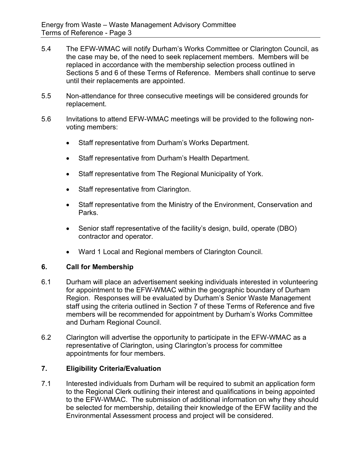- 5.4 The EFW-WMAC will notify Durham's Works Committee or Clarington Council, as the case may be, of the need to seek replacement members. Members will be replaced in accordance with the membership selection process outlined in Sections 5 and 6 of these Terms of Reference. Members shall continue to serve until their replacements are appointed.
- 5.5 Non-attendance for three consecutive meetings will be considered grounds for replacement.
- 5.6 Invitations to attend EFW-WMAC meetings will be provided to the following nonvoting members:
	- Staff representative from Durham's Works Department.
	- Staff representative from Durham's Health Department.
	- Staff representative from The Regional Municipality of York.
	- Staff representative from Clarington.
	- Staff representative from the Ministry of the Environment, Conservation and Parks.
	- Senior staff representative of the facility's design, build, operate (DBO) contractor and operator.
	- Ward 1 Local and Regional members of Clarington Council.

#### **6. Call for Membership**

- 6.1 Durham will place an advertisement seeking individuals interested in volunteering for appointment to the EFW-WMAC within the geographic boundary of Durham Region. Responses will be evaluated by Durham's Senior Waste Management staff using the criteria outlined in Section 7 of these Terms of Reference and five members will be recommended for appointment by Durham's Works Committee and Durham Regional Council.
- 6.2 Clarington will advertise the opportunity to participate in the EFW-WMAC as a representative of Clarington, using Clarington's process for committee appointments for four members.

#### **7. Eligibility Criteria/Evaluation**

7.1 Interested individuals from Durham will be required to submit an application form to the Regional Clerk outlining their interest and qualifications in being appointed to the EFW-WMAC. The submission of additional information on why they should be selected for membership, detailing their knowledge of the EFW facility and the Environmental Assessment process and project will be considered.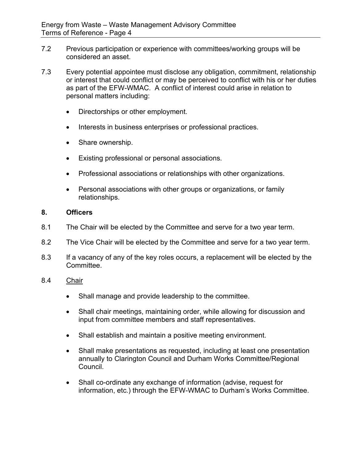- 7.2 Previous participation or experience with committees/working groups will be considered an asset.
- 7.3 Every potential appointee must disclose any obligation, commitment, relationship or interest that could conflict or may be perceived to conflict with his or her duties as part of the EFW-WMAC. A conflict of interest could arise in relation to personal matters including:
	- Directorships or other employment.
	- Interests in business enterprises or professional practices.
	- Share ownership.
	- Existing professional or personal associations.
	- Professional associations or relationships with other organizations.
	- Personal associations with other groups or organizations, or family relationships.

#### **8. Officers**

- 8.1 The Chair will be elected by the Committee and serve for a two year term.
- 8.2 The Vice Chair will be elected by the Committee and serve for a two year term.
- 8.3 If a vacancy of any of the key roles occurs, a replacement will be elected by the Committee.

#### 8.4 Chair

- Shall manage and provide leadership to the committee.
- Shall chair meetings, maintaining order, while allowing for discussion and input from committee members and staff representatives.
- Shall establish and maintain a positive meeting environment.
- Shall make presentations as requested, including at least one presentation annually to Clarington Council and Durham Works Committee/Regional Council.
- Shall co-ordinate any exchange of information (advise, request for information, etc.) through the EFW-WMAC to Durham's Works Committee.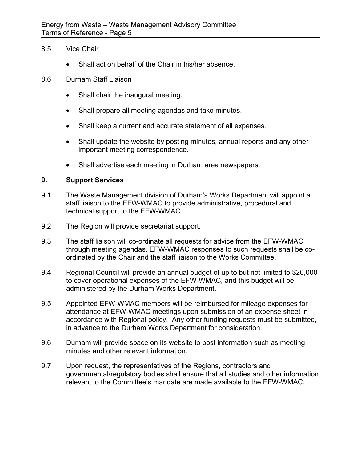#### 8.5 Vice Chair

Shall act on behalf of the Chair in his/her absence.

#### 8.6 Durham Staff Liaison

- Shall chair the inaugural meeting.
- Shall prepare all meeting agendas and take minutes.
- Shall keep a current and accurate statement of all expenses.
- Shall update the website by posting minutes, annual reports and any other important meeting correspondence.
- Shall advertise each meeting in Durham area newspapers.

## **9. Support Services**

- 9.1 The Waste Management division of Durham's Works Department will appoint a staff liaison to the EFW-WMAC to provide administrative, procedural and technical support to the EFW-WMAC.
- 9.2 The Region will provide secretariat support.
- 9.3 The staff liaison will co-ordinate all requests for advice from the EFW-WMAC through meeting agendas. EFW-WMAC responses to such requests shall be coordinated by the Chair and the staff liaison to the Works Committee.
- 9.4 Regional Council will provide an annual budget of up to but not limited to \$20,000 to cover operational expenses of the EFW-WMAC, and this budget will be administered by the Durham Works Department.
- 9.5 Appointed EFW-WMAC members will be reimbursed for mileage expenses for attendance at EFW-WMAC meetings upon submission of an expense sheet in accordance with Regional policy. Any other funding requests must be submitted, in advance to the Durham Works Department for consideration.
- 9.6 Durham will provide space on its website to post information such as meeting minutes and other relevant information.
- 9.7 Upon request, the representatives of the Regions, contractors and governmental/regulatory bodies shall ensure that all studies and other information relevant to the Committee's mandate are made available to the EFW-WMAC.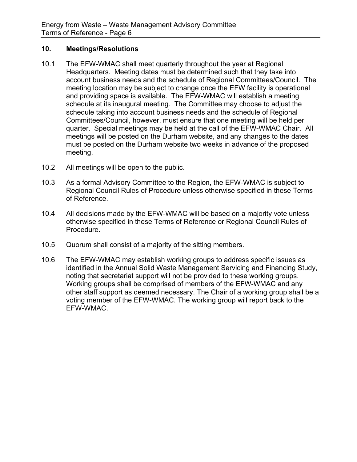# **10. Meetings/Resolutions**

- 10.1 The EFW-WMAC shall meet quarterly throughout the year at Regional Headquarters. Meeting dates must be determined such that they take into account business needs and the schedule of Regional Committees/Council. The meeting location may be subject to change once the EFW facility is operational and providing space is available. The EFW-WMAC will establish a meeting schedule at its inaugural meeting. The Committee may choose to adjust the schedule taking into account business needs and the schedule of Regional Committees/Council, however, must ensure that one meeting will be held per quarter. Special meetings may be held at the call of the EFW-WMAC Chair. All meetings will be posted on the Durham website, and any changes to the dates must be posted on the Durham website two weeks in advance of the proposed meeting.
- 10.2 All meetings will be open to the public.
- 10.3 As a formal Advisory Committee to the Region, the EFW-WMAC is subject to Regional Council Rules of Procedure unless otherwise specified in these Terms of Reference.
- 10.4 All decisions made by the EFW-WMAC will be based on a majority vote unless otherwise specified in these Terms of Reference or Regional Council Rules of Procedure.
- 10.5 Quorum shall consist of a majority of the sitting members.
- 10.6 The EFW-WMAC may establish working groups to address specific issues as identified in the Annual Solid Waste Management Servicing and Financing Study, noting that secretariat support will not be provided to these working groups. Working groups shall be comprised of members of the EFW-WMAC and any other staff support as deemed necessary. The Chair of a working group shall be a voting member of the EFW-WMAC. The working group will report back to the EFW-WMAC.